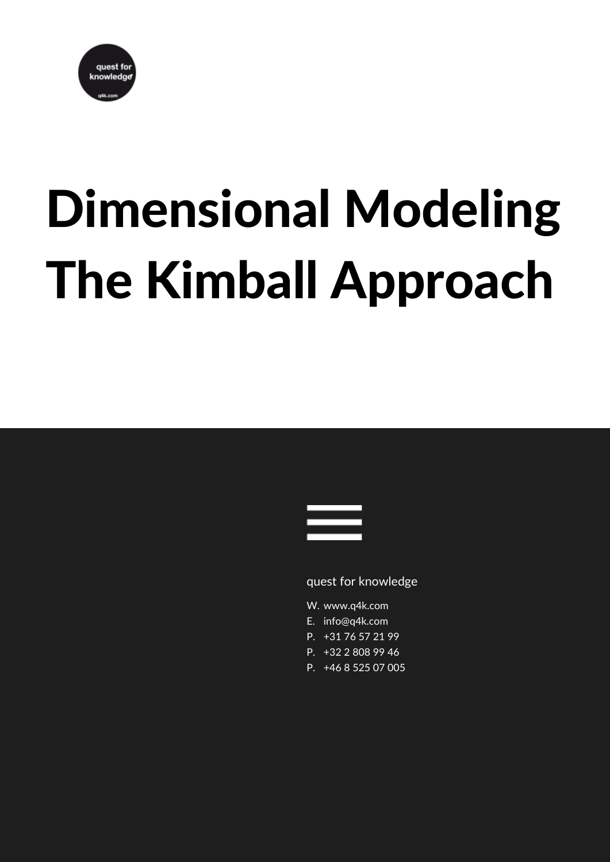

# Dimensional Modeling The Kimball Approach



## quest for knowledge

- W. www.q4k.com
- E. info@q4k.com
- +31 76 57 21 99 P.
- P. +32 2 808 99 46
- P. +46 8 525 07 005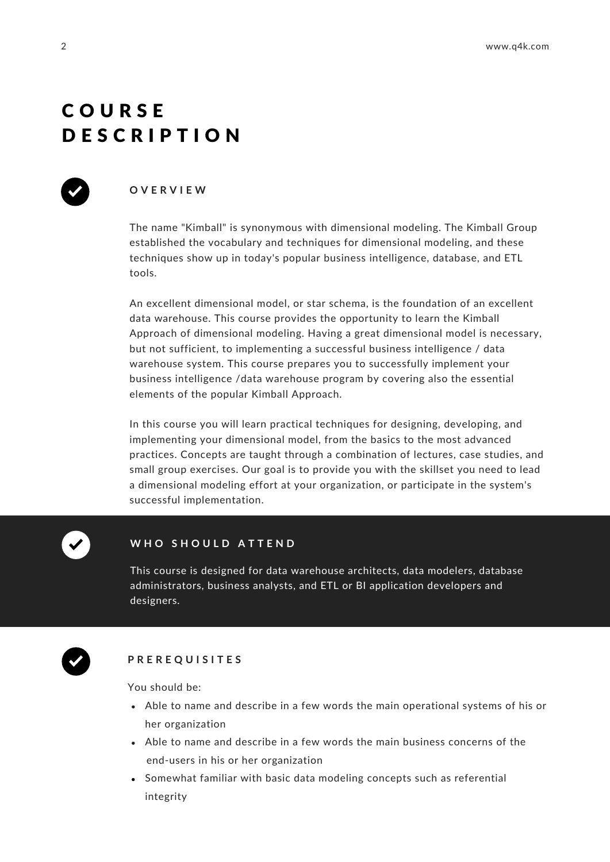## C O U R S E D E S C R I P T I O N



## **O V E R V I E W**

The name "Kimball" is synonymous with dimensional modeling. The Kimball Group established the vocabulary and techniques for dimensional modeling, and these techniques show up in today's popular business intelligence, database, and ETL tools.

An excellent dimensional model, or star schema, is the foundation of an excellent data warehouse. This course provides the opportunity to learn the Kimball Approach of dimensional modeling. Having a great dimensional model is necessary, but not sufficient, to implementing a successful business intelligence / data warehouse system. This course prepares you to successfully implement your business intelligence /data warehouse program by covering also the essential elements of the popular Kimball Approach.

In this course you will learn practical techniques for designing, developing, and implementing your dimensional model, from the basics to the most advanced practices. Concepts are taught through a combination of lectures, case studies, and small group exercises. Our goal is to provide you with the skillset you need to lead a dimensional modeling effort at your organization, or participate in the system's successful implementation.

## **W H O S H O U L D A T T E N D**

This course is designed for data warehouse architects, data modelers, database administrators, business analysts, and ETL or BI application developers and designers.



## **P R E R E Q U I S I T E S**

You should be:

- Able to name and describe in a few words the main operational systems of his or her organization
- Able to name and describe in a few words the main business concerns of the end-users in his or her organization
- Somewhat familiar with basic data modeling concepts such as referential integrity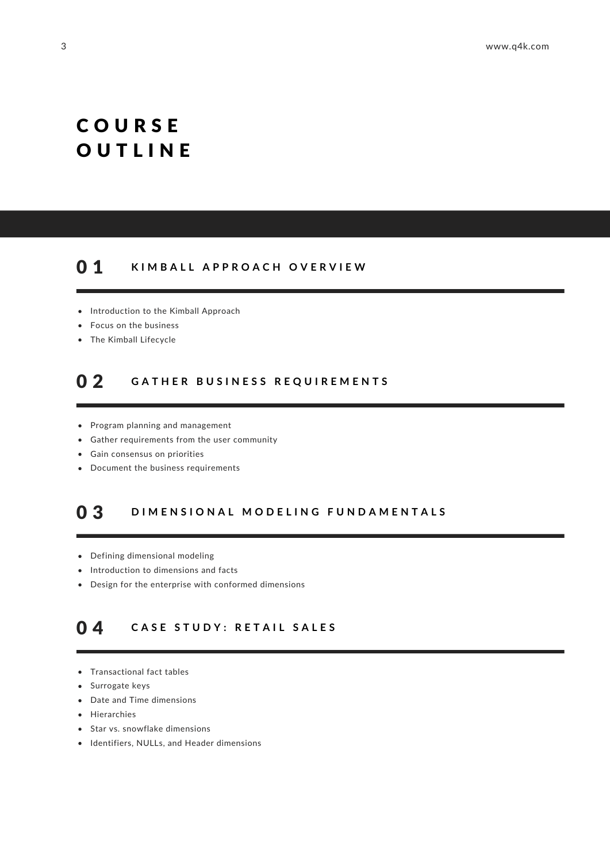# C O U R S E **OUTLINE**

#### **K I M B A L L A P P R O A C H O V E R V I E W** 0 1

- Introduction to the Kimball Approach
- Focus on the business
- The Kimball Lifecycle

#### GATHER BUSINESS REQUIREMENTS 0 2

- Program planning and management
- Gather requirements from the user community
- Gain consensus on priorities
- Document the business requirements

#### DIMENSIONAL MODELING FUNDAMENTALS 0 3

- Defining dimensional modeling
- Introduction to dimensions and facts
- Design for the enterprise with conformed dimensions

#### **C A S E S T U D Y : R E T A I L S A L E S** 0 4

- Transactional fact tables
- Surrogate keys
- Date and Time dimensions
- Hierarchies
- Star vs. snowflake dimensions
- $\bullet$  Identifiers, NULLs, and Header dimensions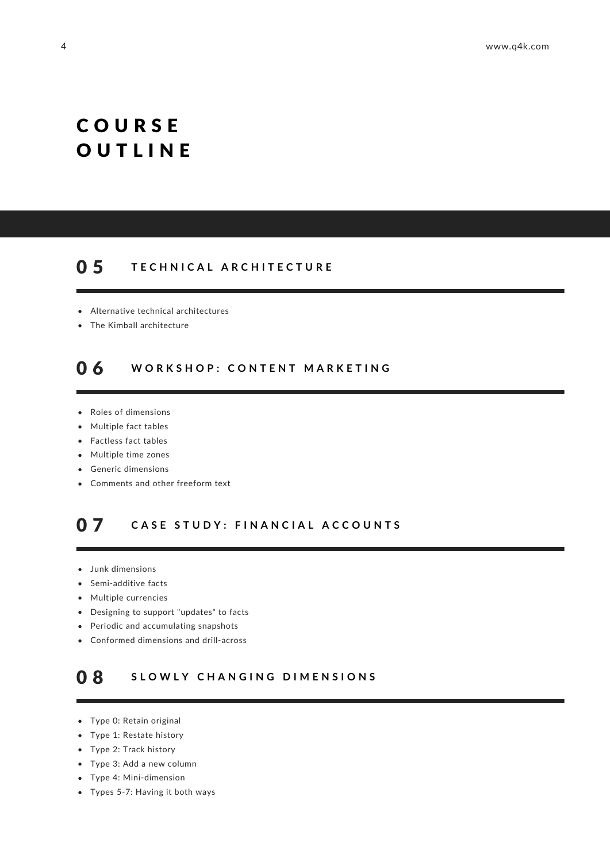# C O U R S E **OUTLINE**

#### **T E C H N I C A L A R C H I T E C T U R E** 0 5

- Alternative technical architectures
- The Kimball architecture

#### **W O R K S H O P : C O N T E N T M A R K E T I N G** 0 6

- Roles of dimensions
- Multiple fact tables
- Factless fact tables
- Multiple time zones
- Generic dimensions
- Comments and other freeform text

#### CASE STUDY: FINANCIAL ACCOUNTS 0 7

- Junk dimensions
- Semi-additive facts
- Multiple currencies
- Designing to support "updates" to facts
- Periodic and accumulating snapshots
- Conformed dimensions and drill-across

#### **S L O W L Y C H A N G I N G D I M E N S I O N S** 0 8

- Type 0: Retain original
- Type 1: Restate history
- Type 2: Track history
- Type 3: Add a new column
- Type 4: Mini-dimension
- Types 5-7: Having it both ways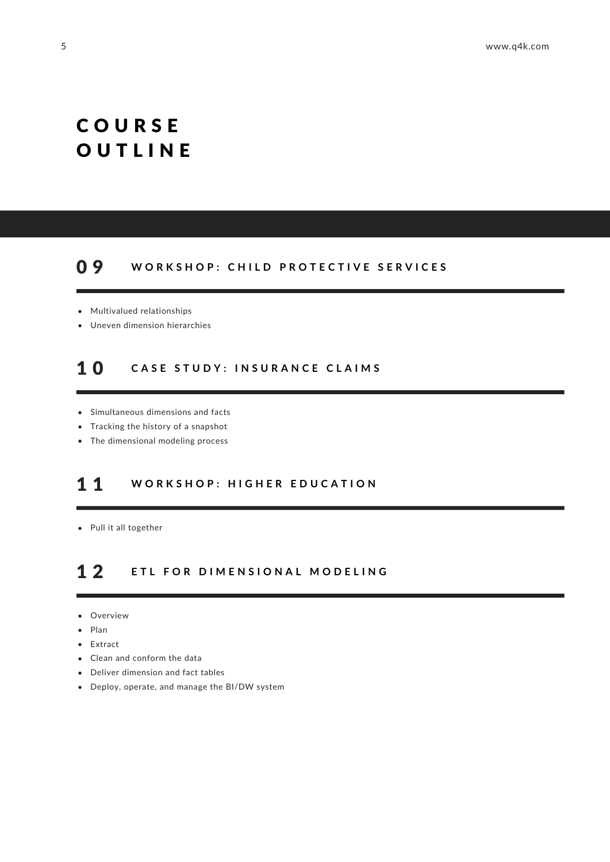# C O U R S E **OUTLINE**

#### WORKSHOP: CHILD PROTECTIVE SERVICES 0 9

- Multivalued relationships
- Uneven dimension hierarchies

#### **C A S E S T U D Y : I N S U R A N C E C L A I M S** 1 0

- Simultaneous dimensions and facts
- Tracking the history of a snapshot
- The dimensional modeling process

#### **W O R K S H O P : H I G H E R E D U C A T I O N** 1 1

Pull it all together

#### **E T L F O R D I M E N S I O N A L M O D E L I N G** 1 2

- Overview
- Plan
- Extract  $\bullet$
- Clean and conform the data
- Deliver dimension and fact tables
- Deploy, operate, and manage the BI/DW system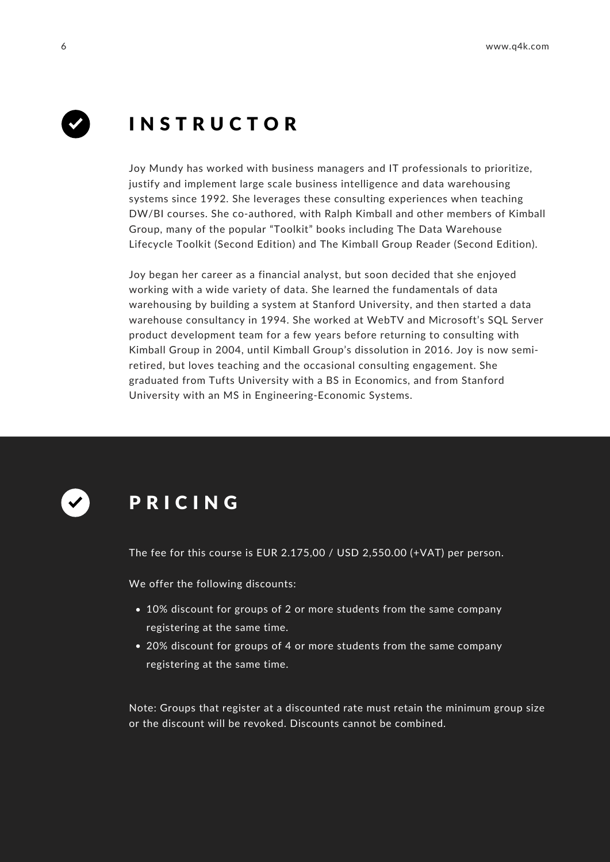

# I N S T R U C T O R

Joy Mundy has worked with business managers and IT professionals to prioritize, justify and implement large scale business intelligence and data warehousing systems since 1992. She leverages these consulting experiences when teaching DW/BI courses. She co-authored, with Ralph Kimball and other members of Kimball Group, many of the popular "Toolkit" books including The Data Warehouse Lifecycle Toolkit (Second Edition) and The Kimball Group Reader (Second Edition).

Joy began her career as a financial analyst, but soon decided that she enjoyed working with a wide variety of data. She learned the fundamentals of data warehousing by building a system at Stanford University, and then started a data warehouse consultancy in 1994. She worked at WebTV and Microsoft's SQL Server product development team for a few years before returning to consulting with Kimball Group in 2004, until Kimball Group's dissolution in 2016. Joy is now semiretired, but loves teaching and the occasional consulting engagement. She graduated from Tufts University with a BS in Economics, and from Stanford University with an MS in Engineering-Economic Systems.



## P R I C I N G

The fee for this course is EUR 2.175,00 / USD 2,550.00 (+VAT) per person.

We offer the following discounts:

- 10% discount for groups of 2 or more students from the same company registering at the same time.
- 20% discount for groups of 4 or more students from the same company registering at the same time.

Note: Groups that register at a discounted rate must retain the minimum group size or the discount will be revoked. Discounts cannot be combined.